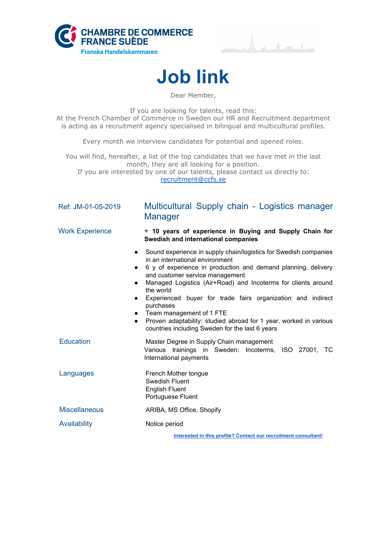





Dear Member,

If you are looking for talents, read this: At the French Chamber of Commerce in Sweden our HR and Recruitment department is acting as a recruitment agency specialised in bilingual and multicultural profiles.

Every month we interview candidates for potential and opened roles.

You will find, hereafter, a list of the top candidates that we have met in the last month, they are all looking for a position. If you are interested by one of our talents, please contact us directly to: [recruitment@ccfs.se](mailto:recruitment@ccfs.se)

| Ref: JM-01-05-2019     | Multicultural Supply chain - Logistics manager<br>Manager                                                                                                                                                                                                                                                                                                                                                                                                                                                                                         |
|------------------------|---------------------------------------------------------------------------------------------------------------------------------------------------------------------------------------------------------------------------------------------------------------------------------------------------------------------------------------------------------------------------------------------------------------------------------------------------------------------------------------------------------------------------------------------------|
| <b>Work Experience</b> | + 10 years of experience in Buying and Supply Chain for<br>Swedish and international companies                                                                                                                                                                                                                                                                                                                                                                                                                                                    |
|                        | Sound experience in supply chain/logistics for Swedish companies<br>$\bullet$<br>in an international environment<br>6 y of experience in production and demand planning, delivery<br>and customer service management<br>Managed Logistics (Air+Road) and Incoterms for clients around<br>the world<br>Experienced buyer for trade fairs organization and indirect<br>purchases<br>• Team management of 1 FTE<br>Proven adaptability: studied abroad for 1 year, worked in various<br>$\bullet$<br>countries including Sweden for the last 6 years |
| <b>Education</b>       | Master Degree in Supply Chain management<br>Various trainings in Sweden: Incoterms, ISO 27001, TC<br>International payments                                                                                                                                                                                                                                                                                                                                                                                                                       |
| Languages              | French Mother tongue<br><b>Swedish Fluent</b><br><b>English Fluent</b><br>Portuguese Fluent                                                                                                                                                                                                                                                                                                                                                                                                                                                       |
| <b>Miscellaneous</b>   | ARIBA, MS Office, Shopify                                                                                                                                                                                                                                                                                                                                                                                                                                                                                                                         |
| Availability           | Notice period                                                                                                                                                                                                                                                                                                                                                                                                                                                                                                                                     |
|                        |                                                                                                                                                                                                                                                                                                                                                                                                                                                                                                                                                   |

**Interested in this profile? Contact our [recruitment](mailto:recruitment@ccfs.se) consultant!**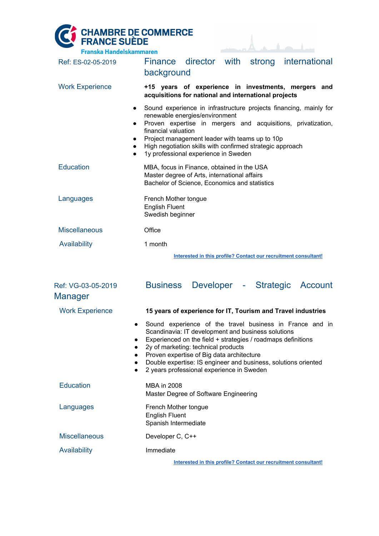COMMERCE DE COMMERCE

| <b>Franska Handelskammaren</b> |                                                                                                                                                                                                                                                                                                                                                                                                                    |
|--------------------------------|--------------------------------------------------------------------------------------------------------------------------------------------------------------------------------------------------------------------------------------------------------------------------------------------------------------------------------------------------------------------------------------------------------------------|
| Ref: ES-02-05-2019             | Finance director with strong international<br>background                                                                                                                                                                                                                                                                                                                                                           |
| <b>Work Experience</b>         | +15 years of experience in investments, mergers and<br>acquisitions for national and international projects                                                                                                                                                                                                                                                                                                        |
|                                | Sound experience in infrastructure projects financing, mainly for<br>$\bullet$<br>renewable energies/environment<br>Proven expertise in mergers and acquisitions, privatization,<br>$\bullet$<br>financial valuation<br>Project management leader with teams up to 10p<br>$\bullet$<br>High negotiation skills with confirmed strategic approach<br>$\bullet$<br>1y professional experience in Sweden<br>$\bullet$ |
| <b>Education</b>               | MBA, focus in Finance, obtained in the USA<br>Master degree of Arts, international affairs<br>Bachelor of Science, Economics and statistics                                                                                                                                                                                                                                                                        |
| Languages                      | French Mother tongue<br><b>English Fluent</b><br>Swedish beginner                                                                                                                                                                                                                                                                                                                                                  |
| <b>Miscellaneous</b>           | Office                                                                                                                                                                                                                                                                                                                                                                                                             |
| Availability                   | 1 month                                                                                                                                                                                                                                                                                                                                                                                                            |
|                                | Interested in this profile? Contact our recruitment consultant!                                                                                                                                                                                                                                                                                                                                                    |
| Ref: VG-03-05-2019<br>Manager  | <b>Business</b><br>Developer - Strategic Account                                                                                                                                                                                                                                                                                                                                                                   |
| <b>Work Experience</b>         | 15 years of experience for IT, Tourism and Travel industries                                                                                                                                                                                                                                                                                                                                                       |
|                                | Sound experience of the travel business in France and in<br>Scandinavia: IT development and business solutions<br>Experienced on the field + strategies / roadmaps definitions<br>2y of marketing: technical products<br>Proven expertise of Big data architecture<br>Double expertise: IS engineer and business, solutions oriented<br>2 years professional experience in Sweden                                  |
| <b>Education</b>               | <b>MBA in 2008</b><br>Master Degree of Software Engineering                                                                                                                                                                                                                                                                                                                                                        |
| Languages                      | French Mother tongue<br><b>English Fluent</b><br>Spanish Intermediate                                                                                                                                                                                                                                                                                                                                              |
| <b>Miscellaneous</b>           | Developer C, C++                                                                                                                                                                                                                                                                                                                                                                                                   |

Availability **Immediate** 

**Interested in this profile? Contact our [recruitment](mailto:recruitment@ccfs.se) consultant!**